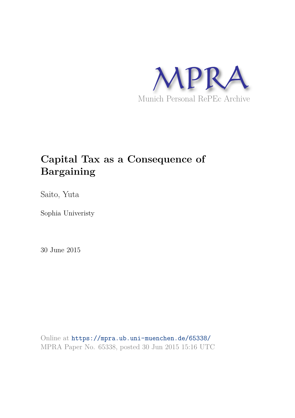

# **Capital Tax as a Consequence of Bargaining**

Saito, Yuta

Sophia Univeristy

30 June 2015

Online at https://mpra.ub.uni-muenchen.de/65338/ MPRA Paper No. 65338, posted 30 Jun 2015 15:16 UTC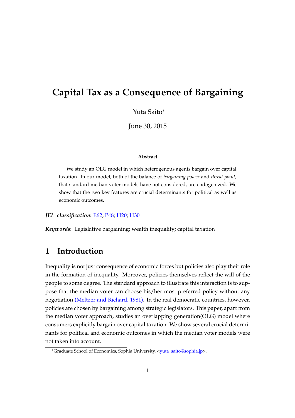## **Capital Tax as a Consequence of Bargaining**

Yuta Saito<sup>∗</sup>

June 30, 2015

#### **Abstract**

We study an OLG model in which heterogenous agents bargain over capital taxation. In our model, both of the balance of *bargaining power* and *threat point*, that standard median voter models have not considered, are endogenized. We show that the two key features are crucial determinants for political as well as economic outcomes.

*JEL classification***:** E62; P48; H20; H30

*Keywords***:** Legislative bargaining; wealth inequality; capital taxation

#### **1 Introduction**

Inequality is not just consequence of economic forces but policies also play their role in the formation of inequality. Moreover, policies themselves reflect the will of the people to some degree. The standard approach to illustrate this interaction is to suppose that the median voter can choose his/her most preferred policy without any negotiation (Meltzer and Richard, 1981). In the real democratic countries, however, policies are chosen by bargaining among strategic legislators. This paper, apart from the median voter approach, studies an overlapping generation(OLG) model where consumers explicitly bargain over capital taxation. We show several crucial determinants for political and economic outcomes in which the median voter models were not taken into account.

<sup>∗</sup>Graduate School of Economics, Sophia University, <yuta\_saito@sophia.jp>.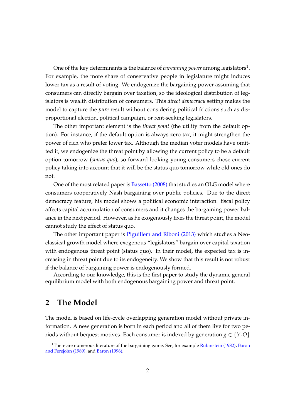One of the key determinants is the balance of *bargaining power* among legislators $^1$ . For example, the more share of conservative people in legislature might induces lower tax as a result of voting. We endogenize the bargaining power assuming that consumers can directly bargain over taxation, so the ideological distribution of legislators is wealth distribution of consumers. This *direct democracy* setting makes the model to capture the *pure* result without considering political frictions such as disproportional election, political campaign, or rent-seeking legislators.

The other important element is the *threat point* (the utility from the default option). For instance, if the default option is always zero tax, it might strengthen the power of rich who prefer lower tax. Although the median voter models have omitted it, we endogenize the threat point by allowing the current policy to be a default option tomorrow (*status quo*), so forward looking young consumers chose current policy taking into account that it will be the status quo tomorrow while old ones do not.

One of the most related paper is Bassetto (2008) that studies an OLG model where consumers cooperatively Nash bargaining over public policies. Due to the direct democracy feature, his model shows a political economic interaction: fiscal policy affects capital accumulation of consumers and it changes the bargaining power balance in the next period. However, as he exogenously fixes the threat point, the model cannot study the effect of status quo.

The other important paper is Piguillem and Riboni (2013) which studies a Neoclassical growth model where exogenous "legislators" bargain over capital taxation with endogenous threat point (status quo). In their model, the expected tax is increasing in threat point due to its endogeneity. We show that this result is not robust if the balance of bargaining power is endogenously formed.

According to our knowledge, this is the first paper to study the dynamic general equilibrium model with both endogenous bargaining power and threat point.

#### **2 The Model**

The model is based on life-cycle overlapping generation model without private information. A new generation is born in each period and all of them live for two periods without bequest motives. Each consumer is indexed by generation  $g \in \{Y, O\}$ 

<sup>&</sup>lt;sup>1</sup>There are numerous literature of the bargaining game. See, for example Rubinstein (1982), Baron and Ferejohn (1989), and Baron (1996).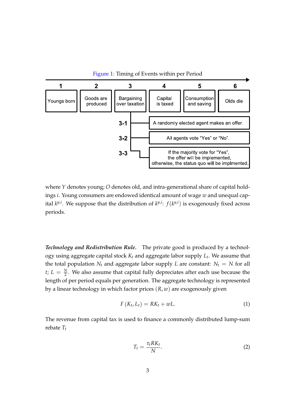

where *Y* denotes young; *O* denotes old, and intra-generational share of capital holdings *i*. Young consumers are endowed identical amount of wage *w* and unequal capital  $k^{y,i}$ . We suppose that the distribution of  $k^{y,i}$ :  $f(k^{y,i})$  is exogenously fixed across periods.

*Technology and Redistribution Rule.* The private good is produced by a technology using aggregate capital stock *K<sup>t</sup>* and aggregate labor supply *L<sup>t</sup>* . We assume that the total population  $N_t$  and aggregate labor supply *L* are constant:  $N_t = N$  for all *t*;  $L = \frac{N}{2}$ . We also assume that capital fully depreciates after each use because the length of per period equals per generation. The aggregate technology is represented by a linear technology in which factor prices (*R*, *w*) are exogenously given

$$
F(K_t, L_t) = RK_t + wL.
$$
\n(1)

The revenue from capital tax is used to finance a commonly distributed lump-sum rebate *T<sup>t</sup>*

$$
T_t = \frac{\tau_t R K_t}{N}.\tag{2}
$$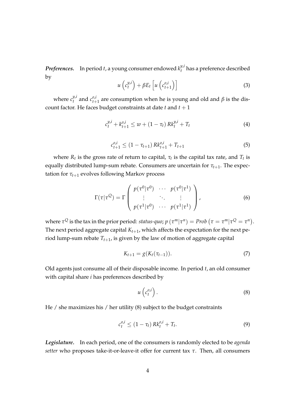*Preferences.* In period *t*, a young consumer endowed  $k_t^{y,i}$ *t* has a preference described by

$$
u\left(c_t^{y,i}\right) + \beta E_t \left[ u\left(c_{t+1}^{o,i}\right) \right] \tag{3}
$$

where  $c_t^{y,i}$  $c^{y,i}_{t}$  and  $c^{o,i}_{t+1}$  $t_{t+1}^{\sigma,\mu}$  are consumption when he is young and old and *β* is the discount factor. He faces budget constraints at date  $t$  and  $t + 1$ 

$$
c_t^{y,i} + k_{t+1}^{o,i} \le w + (1 - \tau_t) R k_t^{y,i} + T_t
$$
 (4)

$$
c_{t+1}^{o,i} \le (1 - \tau_{t+1}) \, R k_{t+1}^{o,i} + T_{t+1} \tag{5}
$$

where  $R_t$  is the gross rate of return to capital,  $\tau_t$  is the capital tax rate, and  $T_t$  is equally distributed lump-sum rebate. Consumers are uncertain for *τt*+1. The expectation for  $\tau_{t+1}$  evolves following Markov process

$$
\Gamma(\tau|\tau^{Q}) = \Gamma\left(\begin{array}{ccc}p(\tau^{0}|\tau^{0}) & \cdots & p(\tau^{0}|\tau^{1})\\ \vdots & \ddots & \vdots\\ p(\tau^{1}|\tau^{0}) & \cdots & p(\tau^{1}|\tau^{1})\end{array}\right),\tag{6}
$$

where  $\tau^Q$  is the tax in the prior period:  $status\text{-}quo;$   $p\left(\tau^m|\tau^n\right) = Prob\left(\tau = \tau^m|\tau^Q = \tau^n\right).$ The next period aggregate capital  $K_{t+1}$ , which affects the expectation for the next period lump-sum rebate *Tt*+1, is given by the law of motion of aggregate capital

$$
K_{t+1} = g(K_t(\tau_{t-1})).
$$
\n(7)

Old agents just consume all of their disposable income. In period *t*, an old consumer with capital share *i* has preferences described by

$$
u\left(c_t^{o,i}\right). \tag{8}
$$

He / she maximizes his / her utility (8) subject to the budget constraints

$$
c_t^{o,i} \le (1 - \tau_t) \, R k_t^{o,i} + T_t. \tag{9}
$$

*Legislature.* In each period, one of the consumers is randomly elected to be *agenda setter* who proposes take-it-or-leave-it offer for current tax *τ*. Then, all consumers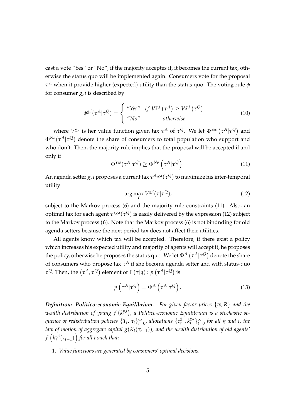cast a vote "Yes" or "No", if the majority acceptes it, it becomes the current tax, otherwise the status quo will be implemented again. Consumers vote for the proposal *τ <sup>A</sup>* when it provide higher (expected) utility than the status quo. The voting rule *φ* for consumer *g*, *i* is described by

$$
\phi^{g,i}(\tau^A|\tau^Q) = \begin{cases} \n\text{``Yes''} & \text{if } V^{g,i}(\tau^A) \ge V^{g,i}(\tau^Q) \\
\text{``No''} & \text{otherwise}\n\end{cases} \tag{10}
$$

where  $V^{g,i}$  is her value function given tax  $\tau^A$  of  $\tau^Q$ . We let  $\Phi^{Yes}(\tau^A|\tau^Q)$  and Φ*No*(*τ <sup>A</sup>*|*τ <sup>Q</sup>*) denote the share of consumers to total population who support and who don't. Then, the majority rule implies that the proposal will be accepted if and only if

$$
\Phi^{\text{Yes}}(\tau^A|\tau^Q) \ge \Phi^{\text{No}}\left(\tau^A|\tau^Q\right). \tag{11}
$$

An agenda setter *g*, *i* proposes a current tax *τ A*,*g*,*i* (*τ <sup>Q</sup>*) to maximize his inter-temporal utility

$$
\arg\max_{\tau} V^{\mathcal{S},i}(\tau|\tau^{\mathcal{Q}}),\tag{12}
$$

subject to the Markov process (6) and the majority rule constraints (11). Also, an optimal tax for each agent *τ* ∗*g*,*i* (*τ <sup>Q</sup>*) is easily delivered by the expression (12) subject to the Markov process (6). Note that the Markov process (6) is not bindnding for old agenda setters because the next period tax does not affect their utilities.

All agents know which tax will be accepted. Therefore, if there exist a policy which increases his expected utility and majority of agents will accept it, he proposes the policy, otherwise he proposes the status quo. We let  $\Phi^A\left(\tau^A|\tau^Q\right)$  denote the share of consumers who propose tax *τ <sup>A</sup>* if she become agenda setter and with status-quo *τ*<sup>Q</sup>. Then, the  $(\tau^A, \tau^Q)$  element of Γ  $(\tau|q):$   $p$   $(\tau^A|\tau^Q)$  is

$$
p\left(\tau^A|\tau^Q\right) = \Phi^A\left(\tau^A|\tau^Q\right). \tag{13}
$$

*Definition: Politico-economic Equilibrium. For given factor prices* {*w*, *R*} *and the* wealth distribution of young  $f(k^{y,i})$ , a Politico-economic Equilibrium is a stochastic se*quence of redistribution policies* {*T<sup>t</sup>* , *τt*} ∞  $_{t=0}^{\infty}$ , allocations  $\{c_{t}^{g,i}\}$  $k_t^{g,i}$ ,  $k_t^{g,i}$  $\left\{\begin{array}{c} g,i \\ t \end{array}\right\}$   $\uparrow$  ⇒ *t*=0 *for all g and i, the law of motion of aggregate capital g*(*Kt*(*τt*−1))*, and the wealth distribution of old agents'*  $f\left(k^{o,i}_t\right)$  $\binom{a, i}{t}(\tau_{t-1})$  for all t such that:

1. *Value functions are generated by consumers' optimal decisions.*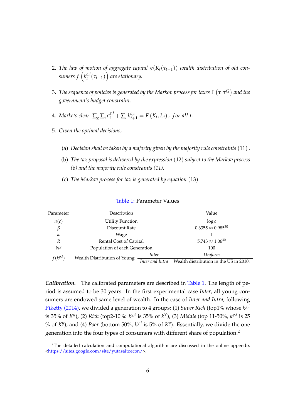- 2. *The law of motion of aggregate capital*  $g(K_t(\tau_{t-1}))$  *wealth distribution of old con*sumers  $f\left(k_{t}^{o,i}\right)$ *t* (*τt*−1) ⌘ *are stationary.*
- 3. *The sequence of policies is generated by the Markov process for taxes*  $\Gamma\left(\tau|\tau^{\mathcal{Q}}\right)$  *and the government's budget constraint.*
- 4. *Markets clear:*  $\sum_{g} \sum_{i} c_i^{g,i} + \sum_{i} k_{t+1}^{o,i} = F(K_t, L_t)$ , for all t.
- 5. *Given the optimal decisions,*
	- (a) *Decision shall be taken by a majority given by the majority rule constraints* (11).
	- (b) *The tax proposal is delivered by the expression* (12) *subject to the Markov process (6) and the majority rule constraints (11).*
	- (c) *The Markov process for tax is generated by equation* (13)*.*

| Parameter    | Description                   | Value                       |                                        |  |
|--------------|-------------------------------|-----------------------------|----------------------------------------|--|
| u(c)         | <b>Utility Function</b>       | $\log c$                    |                                        |  |
| β            | Discount Rate                 | $0.6355 \approx 0.985^{30}$ |                                        |  |
| w            | Wage                          |                             |                                        |  |
| R            | Rental Cost of Capital        | $5.743 \approx 1.06^{30}$   |                                        |  |
| $N^g$        | Population of each Generation | 100                         |                                        |  |
| $f(k^{y,i})$ | Wealth Distribution of Young  | Inter                       | Uniform                                |  |
|              |                               | Inter and Intra             | Wealth distribution in the US in 2010. |  |

#### Table 1: Parameter Values

*Calibration.* The calibrated parameters are described in Table 1. The length of period is assumed to be 30 years. In the first experimental case *Inter*, all young consumers are endowed same level of wealth. In the case of *Inter and Intra*, following Piketty (2014), we divided a generation to 4 groups: (1) *Super Rich* (top1% whose  $k^{y,i}$ is 35% of *KV*), (2) *Rich* (top2-10%:  $k$ <sup>y,*i*</sup> is 35% of  $k$ <sup>Y</sup>), (3) *Middle* (top 11-50%,  $k$ <sup>y,*i*</sup> is 25 % of  $K^y$ ), and (4) *Poor* (bottom 50%,  $k^{y,i}$  is 5% of  $K^y$ ). Essentially, we divide the one generation into the four types of consumers with different share of population.<sup>2</sup>

 $2$ The detailed calculation and computational algorithm are discussed in the online appendix <https://sites.google.com/site/yutasaitoecon/>.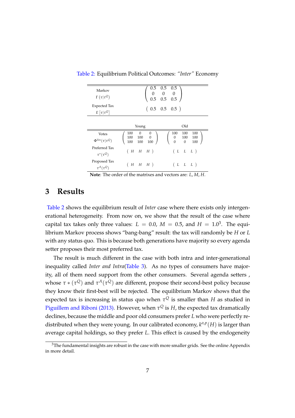| Markov<br>$\Gamma(\tau \tau^Q)$         | 0.5                                                                                | $0.5 \quad 0.5$<br>$\begin{array}{ccc} 0 & 0 & 0 \\ 0.5 & 0.5 & 0.5 \end{array}$<br>$0.5\,$ |  |  |  |  |
|-----------------------------------------|------------------------------------------------------------------------------------|---------------------------------------------------------------------------------------------|--|--|--|--|
| <b>Expected Tax</b><br>$E[\tau \tau^Q]$ | $(0.5 \t 0.5 \t 0.5)$                                                              |                                                                                             |  |  |  |  |
|                                         | Young                                                                              | Old                                                                                         |  |  |  |  |
| Votes<br>$\Phi^{Yes}(\tau \tau^Q)$      | $\boldsymbol{0}$<br>100<br>$\boldsymbol{0}$<br>$100$ 0<br>100<br>100<br>100<br>100 | 100<br>100<br>100<br>100<br>100<br>0<br>$\Omega$<br>$\mathbf{0}$<br>100                     |  |  |  |  |
| Preferred Tax<br>$\tau^*(\tau^Q)$       | (H)<br>$H$ $H$ )                                                                   | (L L L)                                                                                     |  |  |  |  |
| Proposed Tax<br>$\tau^A(\tau^Q)$        | (HHHH)                                                                             | (L L L)                                                                                     |  |  |  |  |

Table 2: Equilibrium Political Outcomes: *"Inter"* Economy

**Note**: The order of the matrixes and vectors are: *L*, *M*, *H*.

#### **3 Results**

Table 2 shows the equilibrium result of *Inter* case where there exists only intergenerational heterogeneity. From now on, we show that the result of the case where capital tax takes only three values:  $L = 0.0$ ,  $M = 0.5$ , and  $H = 1.0<sup>3</sup>$ . The equilibrium Markov process shows "bang-bang" result: the tax will randomly be *H* or *L* with any status quo. This is because both generations have majority so every agenda setter proposes their most preferred tax.

The result is much different in the case with both intra and inter-generational inequality called *Inter and Intra*(Table 3). As no types of consumers have majority, all of them need support from the other consumers. Several agenda setters , whose  $\tau * (\tau^Q)$  and  $\tau^A(\tau^Q)$  are different, propose their second-best policy because they know their first-best will be rejected. The equilibrium Markov shows that the expected tax is increasing in status quo when  $\tau^Q$  is smaller than  $H$  as studied in Piguillem and Riboni (2013). However, when  $\tau^Q$  is  $H$ , the expected tax dramatically declines, because the middle and poor old consumers prefer *L* who were perfectly redistributed when they were young. In our calibrated economy, *k o*,*p* (*H*) is larger than average capital holdings, so they prefer *L*. This effect is caused by the endogeneity

 $3$ The fundamental insights are robust in the case with more smaller grids. See the online Appendix in more detail.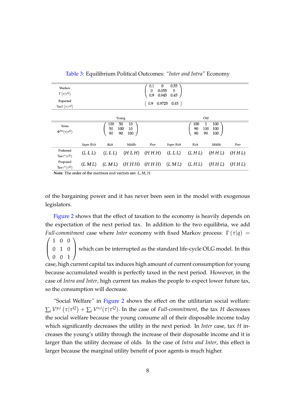| Markov<br>$\Gamma(\tau \tau^Q)$<br>Expected<br>TaxE $\lceil \tau   \tau^Q \rceil$ |                                                       |         |         | $\bf{0}$<br>0.1<br>$\mathbf{0}$<br>0.055<br>0.9<br>0.945<br>$\sqrt{0.9}$<br>0.9725 | 0.55<br>$\bf{0}$<br>0.45<br>0.45) |                                                        |        |       |
|-----------------------------------------------------------------------------------|-------------------------------------------------------|---------|---------|------------------------------------------------------------------------------------|-----------------------------------|--------------------------------------------------------|--------|-------|
|                                                                                   |                                                       |         | Young   |                                                                                    |                                   |                                                        | Old    |       |
| <b>Votes</b><br>$\Phi^{Yes}(\tau \tau^Q)$                                         | 50<br>10<br>100<br>50<br>100<br>10<br>90<br>90<br>100 |         |         |                                                                                    |                                   | 100<br>100<br>1<br>90<br>100<br>100<br>90<br>99<br>100 |        |       |
|                                                                                   | <b>Super Rich</b>                                     | Rich    | Middle  | Poor                                                                               | <b>Super Rich</b>                 | Rich                                                   | Middle | Poor  |
| Preferred<br>Tax $\tau^*(\tau^Q)$                                                 | (L L L)                                               | (L L L) | (H L H) | (HHH)                                                                              | (L L L)                           | (LHL)                                                  | (HHL)  | (HHL) |
| Proposed<br>Tax $\tau^A(\tau^Q)$                                                  | (LML)                                                 | (LML)   | (HHH)   | (HHH)                                                                              | (LML)                             | (LHL)                                                  | (HHL)  | (HHL) |

Table 3: Equilibrium Political Outcomes: *"Inter and Intra"* Economy

Note: The order of the matrixes and vectors are: L, M, H.

of the bargaining power and it has never been seen in the model with exogenous legislators.

Figure 2 shows that the effect of taxation to the economy is heavily depends on the expectation of the next period tax. In addition to the two equilibria, we add *Full-commitment* case where *Inter* economy with fixed Markov process:  $\Gamma(\tau|q)$  =

 $\sqrt{ }$  $\overline{ }$ 100 010 001  $\setminus$ which can be interrupted as the standard life-cycle OLG model. In this

case, high current capital tax induces high amount of current consumption for young because accumulated wealth is perfectly taxed in the next period. However, in the case of *Intra and Inter*, high current tax makes the people to expect lower future tax, so the consumption will decrease.

*"*Social Welfare*"* in Figure 2 shows the effect on the utilitarian social welfare:  $\sum_i V^{y,i}\left(\tau|\tau^Q\right) + \sum_i V^{o,i}(\tau|\tau^Q).$  In the case of *Full-commitment*, the tax *H* decreases the social welfare because the young consume all of their disposable income today which significantly decreases the utility in the next period. In *Inter* case, tax *H* increases the young's utility through the increase of their disposable income and it is larger than the utility decrease of olds. In the case of *Intra and Inter*, this effect is larger because the marginal utility benefit of poor agents is much higher.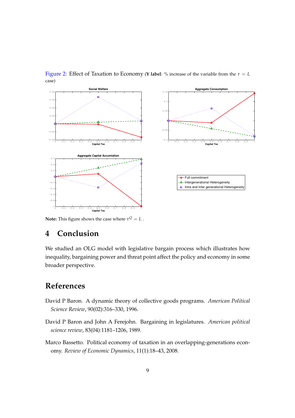

Figure 2: Effect of Taxation to Economy (**Y** label: % increase of the variable from the  $\tau = L$ case)

**Note:** This figure shows the case where  $\tau^Q = L$  .

### **4 Conclusion**

We studied an OLG model with legislative bargain process which illustrates how inequality, bargaining power and threat point affect the policy and economy in some broader perspective.

## **References**

- David P Baron. A dynamic theory of collective goods programs. *American Political Science Review*, 90(02):316–330, 1996.
- David P Baron and John A Ferejohn. Bargaining in legislatures. *American political science review*, 83(04):1181–1206, 1989.
- Marco Bassetto. Political economy of taxation in an overlapping-generations economy. *Review of Economic Dynamics*, 11(1):18–43, 2008.